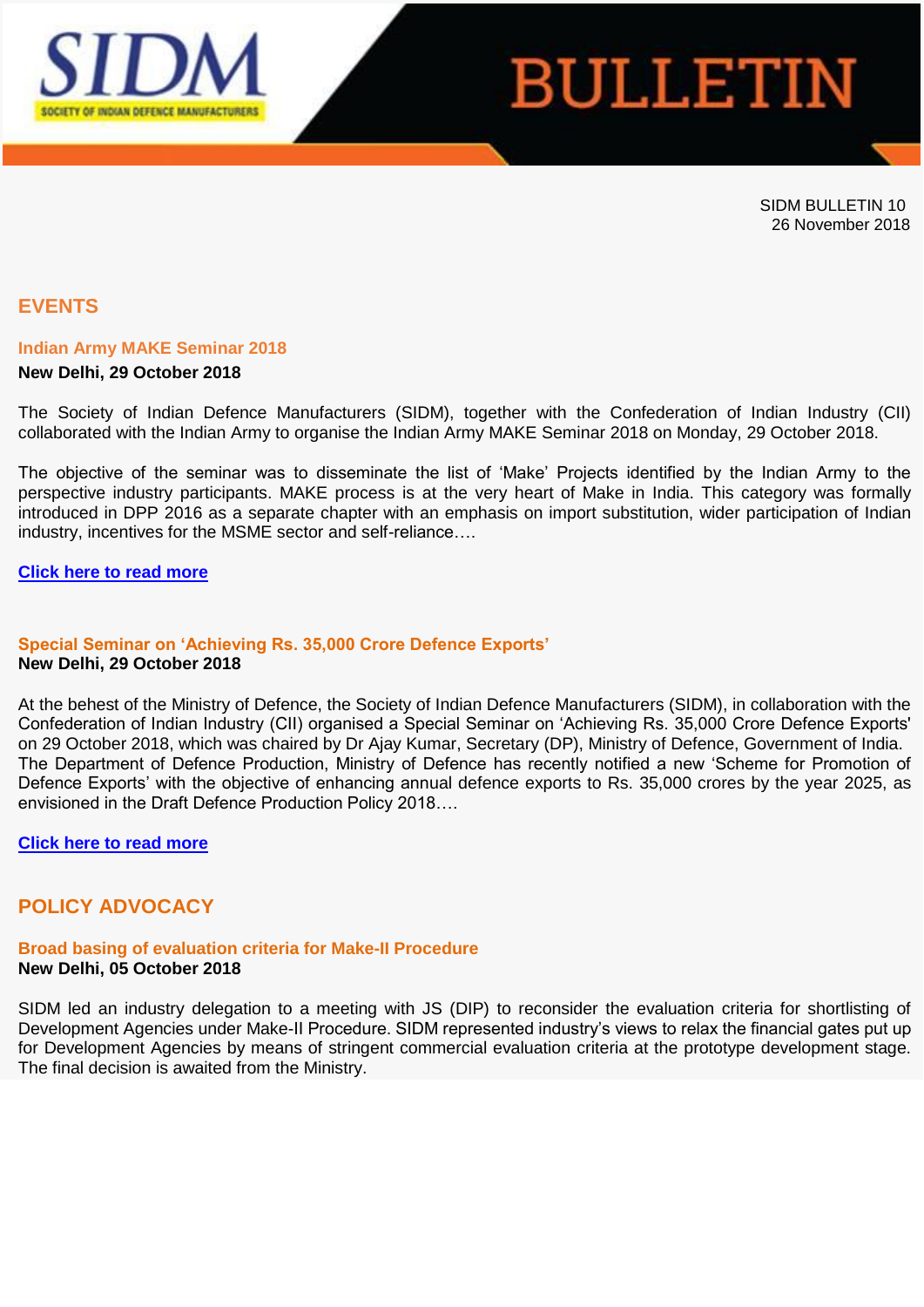

# **BULLETIN**

SIDM BULLETIN 10 26 November 2018

# **EVENTS**

## **Indian Army MAKE Seminar 2018**

## **New Delhi, 29 October 2018**

The Society of Indian Defence Manufacturers (SIDM), together with the Confederation of Indian Industry (CII) collaborated with the Indian Army to organise the Indian Army MAKE Seminar 2018 on Monday, 29 October 2018.

The objective of the seminar was to disseminate the list of 'Make' Projects identified by the Indian Army to the perspective industry participants. MAKE process is at the very heart of Make in India. This category was formally introduced in DPP 2016 as a separate chapter with an emphasis on import substitution, wider participation of Indian industry, incentives for the MSME sector and self-reliance….

#### **[Click here to read more](https://apac01.safelinks.protection.outlook.com/?url=http%3A%2F%2Femaila.ciimails.in%2Fciis%2Fltimdt.php%3Fid%3DLR5UUgZVBgwDV0pUCAsCXhg%3DU1ENUFRLX1RBRFxZXg90BgsNTF8P&data=02%7C01%7C%7C2e3398e9b97046a55d0a08d6537ea1f0%7Ce749ab1b73da4549a0cf1abb0ffbb817%7C0%7C0%7C636788200690497364&sdata=RbA1gu3ALjCAOvuZ5hZn4rp9%2FKh7Zplsx1Ya5DWRTHM%3D&reserved=0)**

#### **Special Seminar on 'Achieving Rs. 35,000 Crore Defence Exports' New Delhi, 29 October 2018**

At the behest of the Ministry of Defence, the Society of Indian Defence Manufacturers (SIDM), in collaboration with the Confederation of Indian Industry (CII) organised a Special Seminar on 'Achieving Rs. 35,000 Crore Defence Exports' on 29 October 2018, which was chaired by Dr Ajay Kumar, Secretary (DP), Ministry of Defence, Government of India. The Department of Defence Production, Ministry of Defence has recently notified a new 'Scheme for Promotion of Defence Exports' with the objective of enhancing annual defence exports to Rs. 35,000 crores by the year 2025, as envisioned in the Draft Defence Production Policy 2018….

## **[Click here to read more](https://apac01.safelinks.protection.outlook.com/?url=http%3A%2F%2Femaila.ciimails.in%2Fciis%2Fltimdt.php%3Fid%3DLR5UUgZVBg0JV0pUCAsCXhg%3DU1ENUFRLX1RBRFxZXg90BgsNTF8P&data=02%7C01%7C%7C2e3398e9b97046a55d0a08d6537ea1f0%7Ce749ab1b73da4549a0cf1abb0ffbb817%7C0%7C0%7C636788200690507368&sdata=kryiRHm6RkKA76xmGbT0ivThJn5Q7mX%2B33bHk%2BXTz0U%3D&reserved=0)**

# **POLICY ADVOCACY**

#### **Broad basing of evaluation criteria for Make-II Procedure New Delhi, 05 October 2018**

SIDM led an industry delegation to a meeting with JS (DIP) to reconsider the evaluation criteria for shortlisting of Development Agencies under Make-II Procedure. SIDM represented industry's views to relax the financial gates put up for Development Agencies by means of stringent commercial evaluation criteria at the prototype development stage. The final decision is awaited from the Ministry.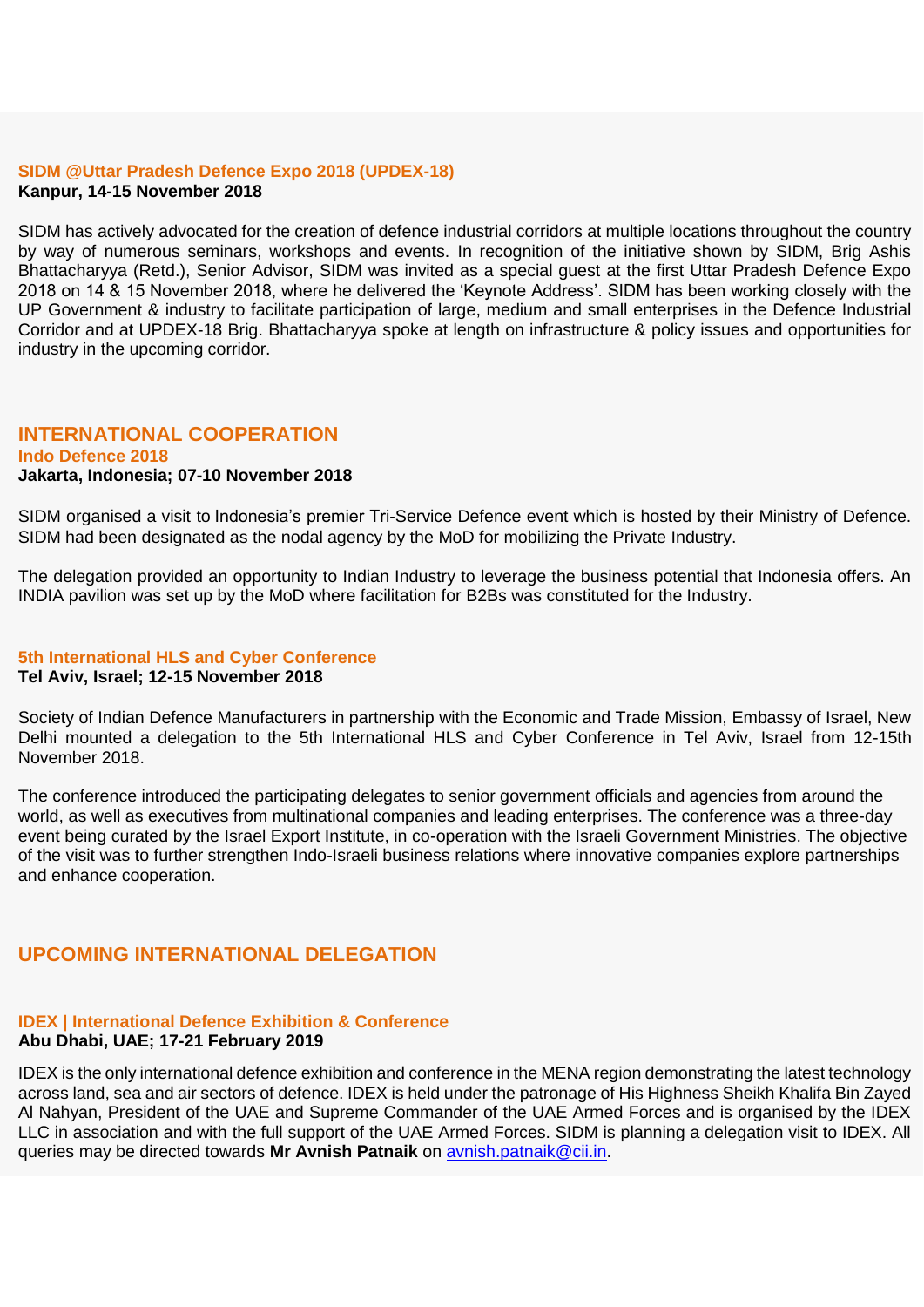## **SIDM @Uttar Pradesh Defence Expo 2018 (UPDEX-18) Kanpur, 14-15 November 2018**

SIDM has actively advocated for the creation of defence industrial corridors at multiple locations throughout the country by way of numerous seminars, workshops and events. In recognition of the initiative shown by SIDM, Brig Ashis Bhattacharyya (Retd.), Senior Advisor, SIDM was invited as a special guest at the first Uttar Pradesh Defence Expo 2018 on 14 & 15 November 2018, where he delivered the 'Keynote Address'. SIDM has been working closely with the UP Government & industry to facilitate participation of large, medium and small enterprises in the Defence Industrial Corridor and at UPDEX-18 Brig. Bhattacharyya spoke at length on infrastructure & policy issues and opportunities for industry in the upcoming corridor.

## **INTERNATIONAL COOPERATION**

#### **Indo Defence 2018 Jakarta, Indonesia; 07-10 November 2018**

SIDM organised a visit to Indonesia's premier Tri-Service Defence event which is hosted by their Ministry of Defence. SIDM had been designated as the nodal agency by the MoD for mobilizing the Private Industry.

The delegation provided an opportunity to Indian Industry to leverage the business potential that Indonesia offers. An INDIA pavilion was set up by the MoD where facilitation for B2Bs was constituted for the Industry.

## **5th International HLS and Cyber Conference**

#### **Tel Aviv, Israel; 12-15 November 2018**

Society of Indian Defence Manufacturers in partnership with the Economic and Trade Mission, Embassy of Israel, New Delhi mounted a delegation to the 5th International HLS and Cyber Conference in Tel Aviv, Israel from 12-15th November 2018.

The conference introduced the participating delegates to senior government officials and agencies from around the world, as well as executives from multinational companies and leading enterprises. The conference was a three-day event being curated by the Israel Export Institute, in co-operation with the Israeli Government Ministries. The objective of the visit was to further strengthen Indo-Israeli business relations where innovative companies explore partnerships and enhance cooperation.

# **UPCOMING INTERNATIONAL DELEGATION**

## **IDEX | International Defence Exhibition & Conference Abu Dhabi, UAE; 17-21 February 2019**

## IDEX is the only international defence exhibition and conference in the MENA region demonstrating the latest technology across land, sea and air sectors of defence. IDEX is held under the patronage of His Highness Sheikh Khalifa Bin Zayed Al Nahyan, President of the UAE and Supreme Commander of the UAE Armed Forces and is organised by the IDEX LLC in association and with the full support of the UAE Armed Forces. SIDM is planning a delegation visit to IDEX. All queries may be directed towards **Mr Avnish Patnaik** on [avnish.patnaik@cii.in.](mailto:avnish.patnaik@cii.in)